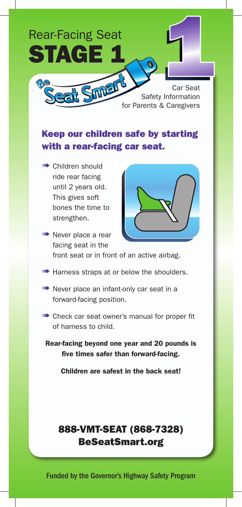

## Keep our children safe by starting with a rear-facing car seat.

**IIII** Children should ride rear facing until 2 years old. This gives soft bones the time to strengthen.



- **IIII<sup>→</sup>** Never place a rear facing seat in the front seat or in front of an active airbag.
- **IIII** Harness straps at or below the shoulders.
- **IIII•** Never place an infant-only car seat in a forward-facing position.
- **IIII•** Check car seat owner's manual for proper fit of harness to child.

Rear-facing beyond one year and 20 pounds is five times safer than forward-facing.

Children are safest in the back seat!

## 888-VMT-SEAT (868-7328) BeSeatSmart.org

Funded by the Governor's Highway Safety Program